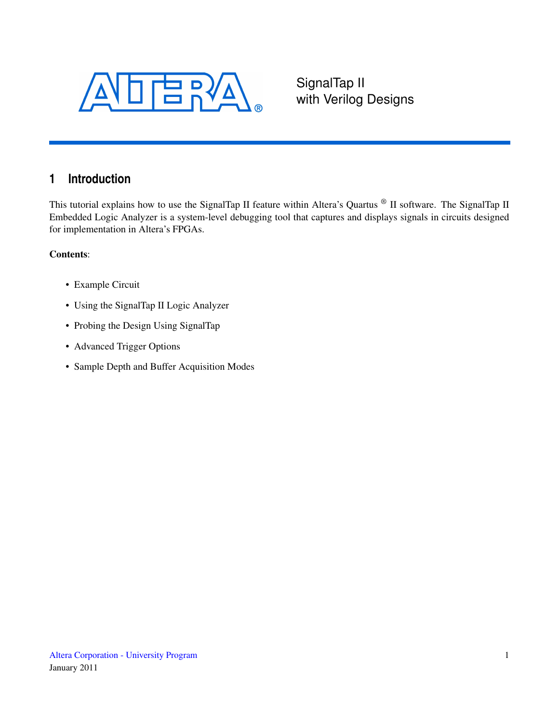<span id="page-0-0"></span>

SignalTap II with Verilog Designs

# **1 Introduction**

This tutorial explains how to use the SignalTap II feature within Altera's Quartus ® II software. The SignalTap II Embedded Logic Analyzer is a system-level debugging tool that captures and displays signals in circuits designed for implementation in Altera's FPGAs.

#### Contents:

- Example Circuit
- Using the SignalTap II Logic Analyzer
- Probing the Design Using SignalTap
- Advanced Trigger Options
- Sample Depth and Buffer Acquisition Modes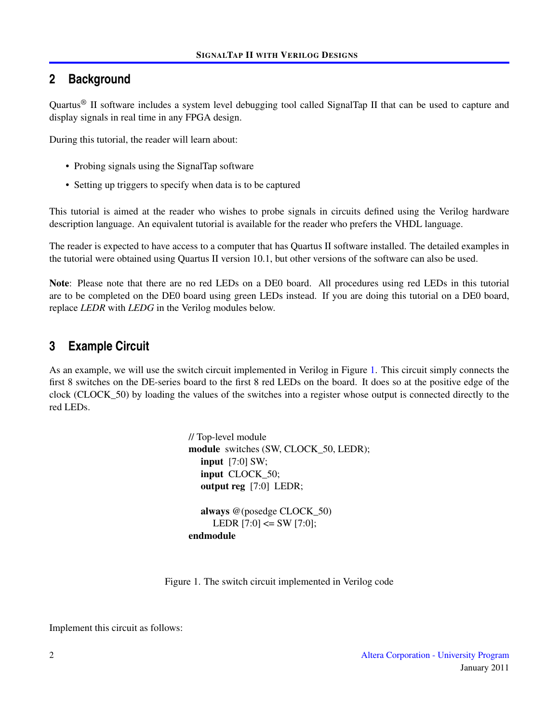## **2 Background**

Quartus® II software includes a system level debugging tool called SignalTap II that can be used to capture and display signals in real time in any FPGA design.

During this tutorial, the reader will learn about:

- Probing signals using the SignalTap software
- Setting up triggers to specify when data is to be captured

This tutorial is aimed at the reader who wishes to probe signals in circuits defined using the Verilog hardware description language. An equivalent tutorial is available for the reader who prefers the VHDL language.

The reader is expected to have access to a computer that has Quartus II software installed. The detailed examples in the tutorial were obtained using Quartus II version 10.1, but other versions of the software can also be used.

Note: Please note that there are no red LEDs on a DE0 board. All procedures using red LEDs in this tutorial are to be completed on the DE0 board using green LEDs instead. If you are doing this tutorial on a DE0 board, replace *LEDR* with *LEDG* in the Verilog modules below.

## **3 Example Circuit**

As an example, we will use the switch circuit implemented in Verilog in Figure [1.](#page-1-0) This circuit simply connects the first 8 switches on the DE-series board to the first 8 red LEDs on the board. It does so at the positive edge of the clock (CLOCK\_50) by loading the values of the switches into a register whose output is connected directly to the red LEDs.

> // Top-level module module switches (SW, CLOCK\_50, LEDR); input [7:0] SW; input CLOCK\_50; output reg [7:0] LEDR; always @(posedge CLOCK\_50) LEDR  $[7:0] \leq SW [7:0]$ ; endmodule

<span id="page-1-0"></span>Figure 1. The switch circuit implemented in Verilog code

Implement this circuit as follows: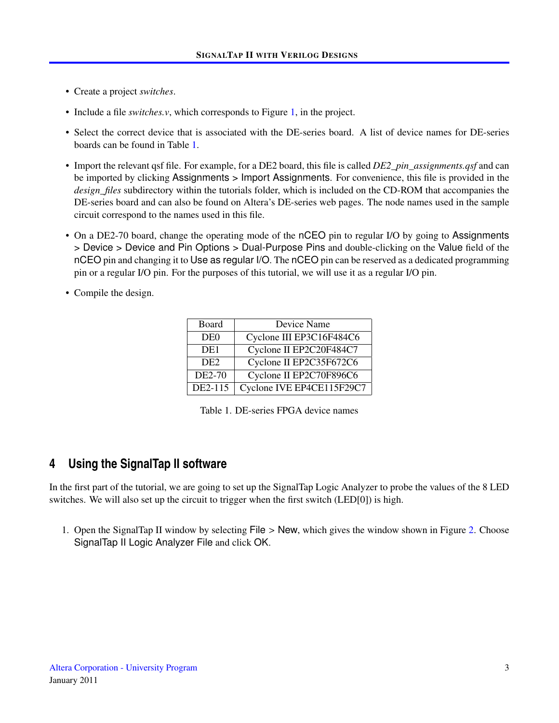- Create a project *switches*.
- Include a file *switches.v*, which corresponds to Figure [1,](#page-1-0) in the project.
- Select the correct device that is associated with the DE-series board. A list of device names for DE-series boards can be found in Table [1.](#page-2-0)
- Import the relevant qsf file. For example, for a DE2 board, this file is called *DE2\_pin\_assignments.qsf* and can be imported by clicking Assignments > Import Assignments. For convenience, this file is provided in the *design\_files* subdirectory within the tutorials folder, which is included on the CD-ROM that accompanies the DE-series board and can also be found on Altera's DE-series web pages. The node names used in the sample circuit correspond to the names used in this file.
- On a DE2-70 board, change the operating mode of the nCEO pin to regular I/O by going to Assignments > Device > Device and Pin Options > Dual-Purpose Pins and double-clicking on the Value field of the nCEO pin and changing it to Use as regular I/O. The nCEO pin can be reserved as a dedicated programming pin or a regular I/O pin. For the purposes of this tutorial, we will use it as a regular I/O pin.
- Compile the design.

| Board           | Device Name               |
|-----------------|---------------------------|
| DE <sub>0</sub> | Cyclone III EP3C16F484C6  |
| DE <sub>1</sub> | Cyclone II EP2C20F484C7   |
| DE <sub>2</sub> | Cyclone II EP2C35F672C6   |
| DE2-70          | Cyclone II EP2C70F896C6   |
| DE2-115         | Cyclone IVE EP4CE115F29C7 |

<span id="page-2-0"></span>Table 1. DE-series FPGA device names

### **4 Using the SignalTap II software**

In the first part of the tutorial, we are going to set up the SignalTap Logic Analyzer to probe the values of the 8 LED switches. We will also set up the circuit to trigger when the first switch (LED[0]) is high.

1. Open the SignalTap II window by selecting File > New, which gives the window shown in Figure [2.](#page-3-0) Choose SignalTap II Logic Analyzer File and click OK.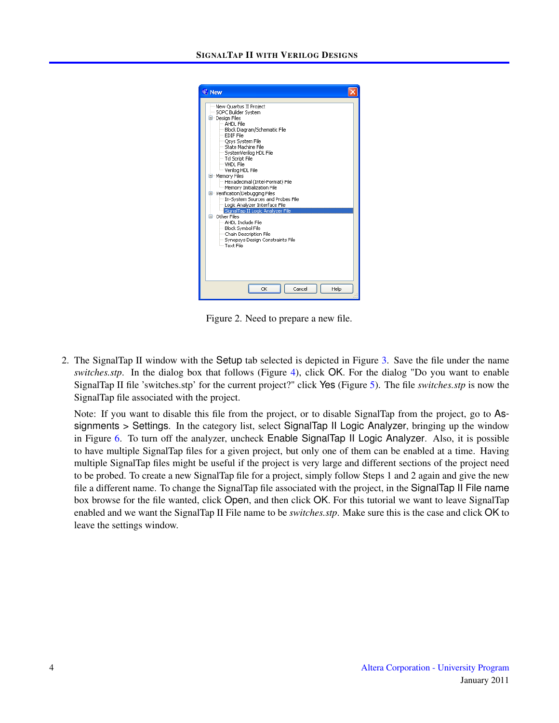

Figure 2. Need to prepare a new file.

<span id="page-3-0"></span>2. The SignalTap II window with the Setup tab selected is depicted in Figure [3.](#page-4-0) Save the file under the name *switches.stp*. In the dialog box that follows (Figure [4\)](#page-4-1), click OK. For the dialog "Do you want to enable SignalTap II file 'switches.stp' for the current project?" click Yes (Figure [5\)](#page-4-2). The file *switches.stp* is now the SignalTap file associated with the project.

Note: If you want to disable this file from the project, or to disable SignalTap from the project, go to Assignments > Settings. In the category list, select SignalTap II Logic Analyzer, bringing up the window in Figure [6.](#page-5-0) To turn off the analyzer, uncheck Enable SignalTap II Logic Analyzer. Also, it is possible to have multiple SignalTap files for a given project, but only one of them can be enabled at a time. Having multiple SignalTap files might be useful if the project is very large and different sections of the project need to be probed. To create a new SignalTap file for a project, simply follow Steps 1 and 2 again and give the new file a different name. To change the SignalTap file associated with the project, in the SignalTap II File name box browse for the file wanted, click Open, and then click OK. For this tutorial we want to leave SignalTap enabled and we want the SignalTap II File name to be *switches.stp*. Make sure this is the case and click OK to leave the settings window.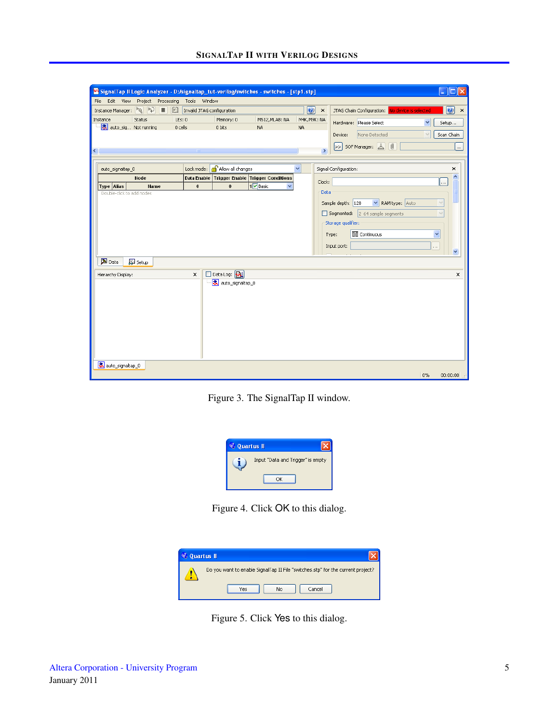#### SIGNALTAP II WITH VERILOG DESIGNS

|                                 | SignalTap II Logic Analyzer - D:/signaltap_tut-verilog/switches - switches - [stp1.stp] |                            |                                 |                                               |                      |                           | П                                                                      |
|---------------------------------|-----------------------------------------------------------------------------------------|----------------------------|---------------------------------|-----------------------------------------------|----------------------|---------------------------|------------------------------------------------------------------------|
| File Edit                       | View<br>Project Processing                                                              | Tools<br>Window            |                                 |                                               |                      |                           |                                                                        |
| Instance Manager:               | $\begin{bmatrix} 0 \\ 1 \end{bmatrix}$<br>$\mathbb{F}_{\mathbb{Q}}$<br>-11<br>٠         | Invalid JTAG configuration |                                 |                                               | $\boxed{\mathbf{O}}$ | $\boldsymbol{\mathsf{x}}$ | 0<br>JTAG Chain Configuration: No device is selected<br>$\pmb{\times}$ |
| Instance                        | <b>Status</b><br>LES: 0                                                                 |                            | Memory: 0                       | M512, MLAB: NA                                | M4K, M9K: NA         |                           |                                                                        |
|                                 | older Not running<br>0 cells                                                            |                            | 0 bits                          | <b>NA</b>                                     | <b>NA</b>            |                           | Hardware: Please Select<br>×<br>Setup                                  |
|                                 |                                                                                         |                            |                                 |                                               |                      |                           | None Detected<br>Scan Chain<br>Device:<br>$\checkmark$                 |
|                                 |                                                                                         |                            |                                 |                                               |                      |                           | SOF Manager:<br>Ú<br> >><br>                                           |
| ∢                               |                                                                                         | <b>THEF</b>                |                                 |                                               |                      | $\,$                      |                                                                        |
| auto_signaltap_0                |                                                                                         | Lock mode:                 | Allow all changes               |                                               | v                    |                           | Signal Configuration:<br>×                                             |
|                                 | Node                                                                                    |                            |                                 | Data Enable Trigger Enable Trigger Conditions |                      |                           | ∧                                                                      |
| Type Alias                      | <b>Name</b>                                                                             | $\pmb{0}$                  | $\bf{0}$                        | 1 Basic<br>$\checkmark$                       |                      | Clock:                    |                                                                        |
|                                 | Double-click to add nodes                                                               |                            |                                 |                                               |                      | Data                      |                                                                        |
|                                 |                                                                                         |                            |                                 |                                               |                      |                           | RAM type: Auto<br>$\checkmark$<br>Sample depth: 128<br>$\checkmark$    |
|                                 |                                                                                         |                            |                                 |                                               |                      |                           | $\Box$ Segmented:<br>2 64 sample segments<br>$\checkmark$              |
|                                 |                                                                                         |                            |                                 |                                               |                      |                           | Storage qualifier:                                                     |
|                                 |                                                                                         |                            |                                 |                                               |                      |                           | <b>RE</b> Continuous<br>v<br>Type:                                     |
|                                 |                                                                                         |                            |                                 |                                               |                      |                           | Input port:                                                            |
|                                 |                                                                                         |                            |                                 |                                               |                      |                           | $\cdots$<br>v                                                          |
| <b>A</b> Data                   | Setup                                                                                   |                            |                                 |                                               |                      |                           |                                                                        |
| Hierarchy Display:              |                                                                                         | $\times$                   | Data Log: [M]                   |                                               |                      |                           | ×                                                                      |
|                                 |                                                                                         |                            | <mark>え</mark> auto_signaltap_0 |                                               |                      |                           |                                                                        |
|                                 |                                                                                         |                            |                                 |                                               |                      |                           |                                                                        |
|                                 |                                                                                         |                            |                                 |                                               |                      |                           |                                                                        |
|                                 |                                                                                         |                            |                                 |                                               |                      |                           |                                                                        |
|                                 |                                                                                         |                            |                                 |                                               |                      |                           |                                                                        |
|                                 |                                                                                         |                            |                                 |                                               |                      |                           |                                                                        |
|                                 |                                                                                         |                            |                                 |                                               |                      |                           |                                                                        |
|                                 |                                                                                         |                            |                                 |                                               |                      |                           |                                                                        |
|                                 |                                                                                         |                            |                                 |                                               |                      |                           |                                                                        |
| <mark>え</mark> auto_signaltap_0 |                                                                                         |                            |                                 |                                               |                      |                           |                                                                        |
|                                 |                                                                                         |                            |                                 |                                               |                      |                           | $0\%$<br>00:00:00                                                      |

<span id="page-4-0"></span>Figure 3. The SignalTap II window.



Figure 4. Click OK to this dialog.

<span id="page-4-1"></span>

| <b>Quartus II</b>                                                               |
|---------------------------------------------------------------------------------|
| Do you want to enable SignalTap II File "switches.stp" for the current project? |
| No<br>Yes<br>Cancel                                                             |

<span id="page-4-2"></span>Figure 5. Click Yes to this dialog.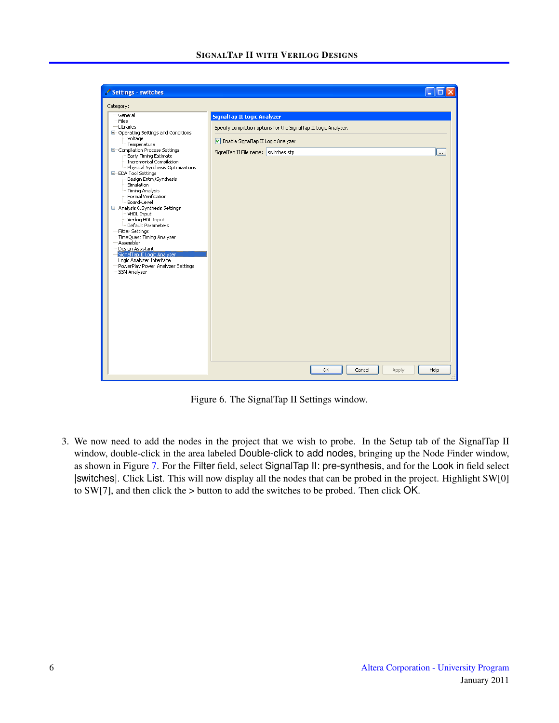| Settings - switches                                                                                                                                                                                                                                                                                                                                                                                                                                                                                                                                                                                                                                                        |                                                                                                                                                                                      |             |
|----------------------------------------------------------------------------------------------------------------------------------------------------------------------------------------------------------------------------------------------------------------------------------------------------------------------------------------------------------------------------------------------------------------------------------------------------------------------------------------------------------------------------------------------------------------------------------------------------------------------------------------------------------------------------|--------------------------------------------------------------------------------------------------------------------------------------------------------------------------------------|-------------|
| Category:                                                                                                                                                                                                                                                                                                                                                                                                                                                                                                                                                                                                                                                                  |                                                                                                                                                                                      |             |
| General<br>Files<br>Libraries<br><b>E</b> Operating Settings and Conditions<br>Voltage<br>Temperature<br>Compilation Process Settings<br>Early Timing Estimate<br>Incremental Compilation<br>Physical Synthesis Optimizations<br>E- EDA Tool Settings<br>Design Entry/Synthesis<br>Simulation<br><b>Timing Analysis</b><br>Formal Verification<br>Board-Level<br>□ Analysis & Synthesis Settings<br><b>VHDL Input</b><br>- Verilog HDL Input<br>Default Parameters<br><b>Fitter Settings</b><br>TimeQuest Timing Analyzer<br>Assembler<br>Design Assistant<br>SignalTap II Logic Analyzer<br>Logic Analyzer Interface<br>PowerPlay Power Analyzer Settings<br>SSN Analyzer | <b>SignalTap II Logic Analyzer</b><br>Specify compilation options for the SignalTap II Logic Analyzer.<br>Enable SignalTap II Logic Analyzer<br>SignalTap II File name: switches.stp | <b>Less</b> |
|                                                                                                                                                                                                                                                                                                                                                                                                                                                                                                                                                                                                                                                                            | OK.<br>Cancel<br>Apply                                                                                                                                                               | Help        |

<span id="page-5-0"></span>Figure 6. The SignalTap II Settings window.

3. We now need to add the nodes in the project that we wish to probe. In the Setup tab of the SignalTap II window, double-click in the area labeled Double-click to add nodes, bringing up the Node Finder window, as shown in Figure [7.](#page-6-0) For the Filter field, select SignalTap II: pre-synthesis, and for the Look in field select |switches|. Click List. This will now display all the nodes that can be probed in the project. Highlight SW[0] to SW[7], and then click the > button to add the switches to be probed. Then click OK.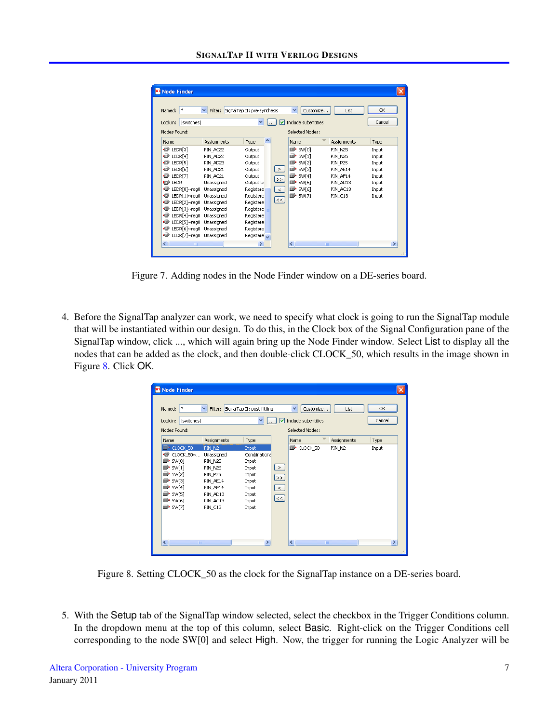| $\ast$<br>Named:               | v<br>Filter: | SignalTap II: pre-synthesis |        | ×<br>Customize      | List           | OK     |
|--------------------------------|--------------|-----------------------------|--------|---------------------|----------------|--------|
|                                |              |                             |        |                     |                |        |
| <b>Iswitches</b><br>Look in:   |              | v                           | ᢦ      | Include subentities |                | Cancel |
| Nodes Found:                   |              |                             |        | Selected Nodes:     |                |        |
| Name                           | Assignments  | ۸<br>Type                   |        | Name                | Assignments    | Type   |
| $\bullet$ LEDR[3]              | PIN AC22     | Output                      |        | $\Rightarrow$ SW[0] | PIN N25        | Input  |
| $\bullet$ LEDR[4]              | PIN AD22     | Output                      |        | $\mathbb{R}$ SW[1]  | <b>PIN N26</b> | Input  |
| $\bullet$ LEDR[5]              | PIN AD23     | Output                      |        | $\Rightarrow$ SW[2] | PIN P25        | Input  |
| ◉<br>LEDR[6]                   | PIN AD21     | Output                      | $\geq$ | <b>B</b> SW[3]      | PIN AE14       | Input  |
| $\bullet$ LEDR[7]              | PIN AC21     | Output                      |        | <b>B</b> SW[4]      | PIN AF14       | Input  |
| <b>o</b> LEDR                  | Unassigned   | Output Gr                   | $\,>$  | $\mathbb{R}$ sw[5]  | PIN AD13       | Input  |
| D LEDR[0]~reg0                 | Unassigned   | Registere                   | $\,<$  | $\Rightarrow$ SW[6] | PIN AC13       | Input  |
| EDR[1]~reg0                    | Unassigned   | Registere                   |        | $\Rightarrow$ SW[7] | PIN C13        | Input  |
| <b>■</b> LEDR[2]~reg0          | Unassigned   | Registere                   | $\le$  |                     |                |        |
| <b>EDR[3]</b> ~reg0 Unassigned |              | Registere                   |        |                     |                |        |
| ⊕<br>LEDR[4]~reg0              | Unassigned   | Registere                   |        |                     |                |        |
| EDR[5]~reg0 Unassigned         |              | Registere                   |        |                     |                |        |
| EDR[6]~reg0 Unassigned         |              | Registere                   |        |                     |                |        |
| o<br>LEDR[7]~reg0              | Unassigned   | Registere                   |        |                     |                |        |

<span id="page-6-0"></span>Figure 7. Adding nodes in the Node Finder window on a DE-series board.

4. Before the SignalTap analyzer can work, we need to specify what clock is going to run the SignalTap module that will be instantiated within our design. To do this, in the Clock box of the Signal Configuration pane of the SignalTap window, click ..., which will again bring up the Node Finder window. Select List to display all the nodes that can be added as the clock, and then double-click CLOCK\_50, which results in the image shown in Figure [8.](#page-6-1) Click OK.

| Node Finder                                                                                                                                                                                          |                                                                                                                         |                                                                                                |                                  |                                                                       |             |              |
|------------------------------------------------------------------------------------------------------------------------------------------------------------------------------------------------------|-------------------------------------------------------------------------------------------------------------------------|------------------------------------------------------------------------------------------------|----------------------------------|-----------------------------------------------------------------------|-------------|--------------|
| $\ast$<br>Named:<br> switches <br>Look in:<br>Nodes Found:                                                                                                                                           | ×<br>Filter:                                                                                                            | SignalTap II: post-fitting<br>×<br>$\cdots$                                                    | M                                | ×<br>Customize<br>Include subentities<br>Selected Nodes:              | List        | OK<br>Cancel |
| Name                                                                                                                                                                                                 | Assignments                                                                                                             | Type                                                                                           |                                  | Name                                                                  | Assignments | Type         |
| $\rightarrow$ CLOCK_50<br>◕<br>CLOCK $50$ $\sim$<br>SW[0]<br>D<br>D<br>SW[1]<br>$\mathbb{R}$ SW[2]<br>SW[3]<br>D<br>SW[4]<br>D<br>$\blacksquare$ sw[5]<br>$\blacksquare$ sw[6]<br>$\mathbb{R}$ SW[7] | PIN N2<br>Unassigned<br>PIN_N25<br>PIN_N26<br><b>PIN P25</b><br>PIN AE14<br>PIN AF14<br>PIN_AD13<br>PIN_AC13<br>PIN_C13 | Input<br>Combinational<br>Input<br>Input<br>Input<br>Input<br>Input<br>Input<br>Input<br>Input | $\, >$<br>$\gg$<br>$\,<\,$<br><< | CLOCK_50                                                              | PIN N2      | Input        |
| $\left\langle \cdot \right\rangle$<br>$\rm{H\,II}$                                                                                                                                                   |                                                                                                                         | ×                                                                                              |                                  | $\left\langle \cdot \right\rangle$<br>$\mathop{\mathrm{HH}}\nolimits$ |             | ×.<br>J.     |

<span id="page-6-1"></span>Figure 8. Setting CLOCK\_50 as the clock for the SignalTap instance on a DE-series board.

5. With the Setup tab of the SignalTap window selected, select the checkbox in the Trigger Conditions column. In the dropdown menu at the top of this column, select Basic. Right-click on the Trigger Conditions cell corresponding to the node SW[0] and select High. Now, the trigger for running the Logic Analyzer will be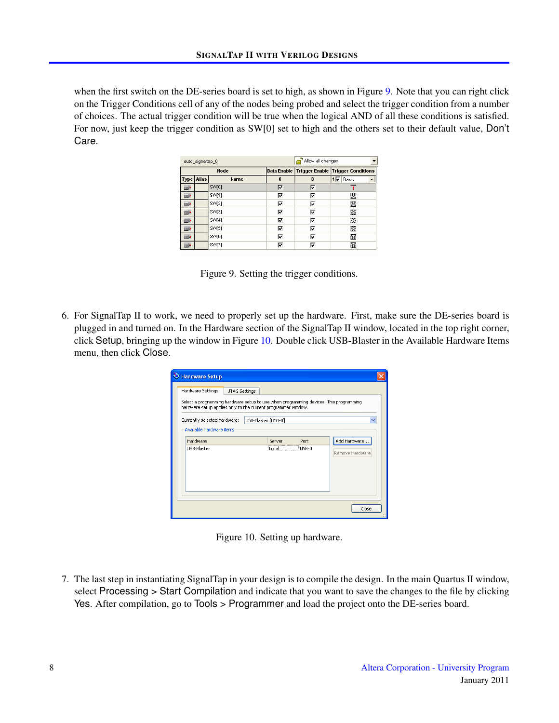when the first switch on the DE-series board is set to high, as shown in Figure [9.](#page-7-0) Note that you can right click on the Trigger Conditions cell of any of the nodes being probed and select the trigger condition from a number of choices. The actual trigger condition will be true when the logical AND of all these conditions is satisfied. For now, just keep the trigger condition as SW[0] set to high and the others set to their default value, Don't Care.

|               | auto signaltap 0 |                 | Allow all changes |    |                                               |  |
|---------------|------------------|-----------------|-------------------|----|-----------------------------------------------|--|
|               |                  | <b>Node</b>     |                   |    | Data Enable Trigger Enable Trigger Conditions |  |
| Type Alias    |                  | <b>Name</b>     | 8                 | 8  | Basic<br>1⊽                                   |  |
| $\Rightarrow$ |                  | SW[0]           | ঢ়                | ঢ় |                                               |  |
| $\Rightarrow$ |                  | SW11            | ঢ়                | ঢ় | 翜                                             |  |
| $\Rightarrow$ |                  | SVV[2]          | ঢ়                | ঢ় | ▩                                             |  |
| $\Rightarrow$ |                  | SW <sub>3</sub> | ⊽                 | ঢ় | 翜                                             |  |
| $\Rightarrow$ |                  | SW[4]           | ঢ়                | ঢ় | ▧                                             |  |
| $\Rightarrow$ |                  | SW[5]           | ঢ়                | ঢ় | 露                                             |  |
| $\Rightarrow$ |                  | SW[6]           | ঢ়                | ঢ় | 露                                             |  |
| $\Rightarrow$ |                  | SW[7]           | ঢ়                | ঢ় | 露                                             |  |

<span id="page-7-0"></span>Figure 9. Setting the trigger conditions.

6. For SignalTap II to work, we need to properly set up the hardware. First, make sure the DE-series board is plugged in and turned on. In the Hardware section of the SignalTap II window, located in the top right corner, click Setup, bringing up the window in Figure [10.](#page-7-1) Double click USB-Blaster in the Available Hardware Items menu, then click Close.

| Hardware Setup                                                                                                                                                              |               |                     |       |                 |
|-----------------------------------------------------------------------------------------------------------------------------------------------------------------------------|---------------|---------------------|-------|-----------------|
| Hardware Settings<br>Select a programming hardware setup to use when programming devices. This programming<br>hardware setup applies only to the current programmer window. | JTAG Settings |                     |       |                 |
| Currently selected hardware:<br>Available hardware items                                                                                                                    |               | USB-Blaster [USB-0] |       |                 |
| Hardware                                                                                                                                                                    |               | Server              | Port  | Add Hardware    |
| USB-Blaster                                                                                                                                                                 |               | il ocali            | USB-0 | Remove Hardware |
|                                                                                                                                                                             |               |                     |       | Close           |

<span id="page-7-1"></span>Figure 10. Setting up hardware.

7. The last step in instantiating SignalTap in your design is to compile the design. In the main Quartus II window, select Processing > Start Compilation and indicate that you want to save the changes to the file by clicking Yes. After compilation, go to Tools > Programmer and load the project onto the DE-series board.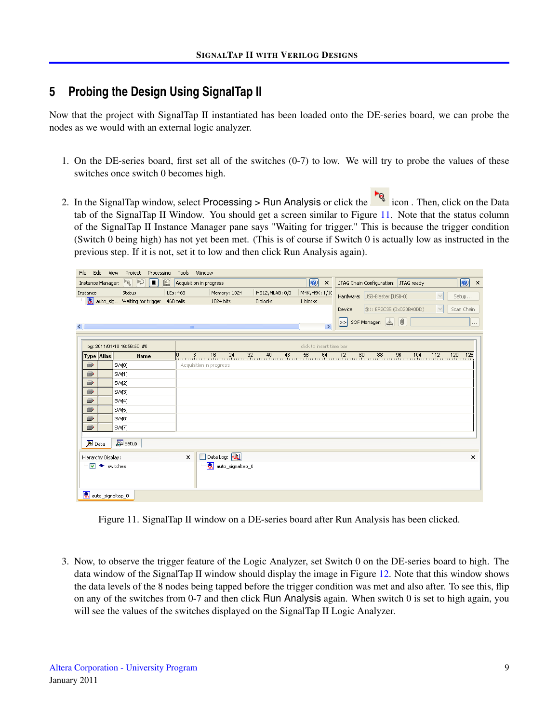# **5 Probing the Design Using SignalTap II**

Now that the project with SignalTap II instantiated has been loaded onto the DE-series board, we can probe the nodes as we would with an external logic analyzer.

- 1. On the DE-series board, first set all of the switches (0-7) to low. We will try to probe the values of these switches once switch 0 becomes high.
- 2. In the SignalTap window, select Processing > Run Analysis or click the icon. Then, click on the Data tab of the SignalTap II Window. You should get a screen similar to Figure [11.](#page-8-0) Note that the status column of the SignalTap II Instance Manager pane says "Waiting for trigger." This is because the trigger condition (Switch 0 being high) has not yet been met. (This is of course if Switch 0 is actually low as instructed in the previous step. If it is not, set it to low and then click Run Analysis again).

| Edit<br>File                          | View<br>Project<br>Processing | Tools Window                                |                                 |                                                    |                            |                                                                                                             |
|---------------------------------------|-------------------------------|---------------------------------------------|---------------------------------|----------------------------------------------------|----------------------------|-------------------------------------------------------------------------------------------------------------|
| Instance Manager:                     | $\mathbb{P}$<br>R<br>O        | $[ \mathbf{E} ]$<br>Acquisition in progress |                                 |                                                    | O<br>$\boldsymbol{\times}$ | $\circledcirc$ ×<br>JTAG Chain Configuration: JTAG ready                                                    |
| Instance                              | Status                        | LEs: 468                                    | Memory: 1024                    | M512, MLAB: 0/0                                    | M4K, M9K: 1/10             | Hardware: USB-Blaster [USB-0]<br>$\vee$<br>Setup                                                            |
|                                       | auto_sig Waiting for trigger  | 468 cells                                   | 1024 bits                       | 0 blocks                                           | 1 blocks                   |                                                                                                             |
|                                       |                               |                                             |                                 |                                                    |                            | @1: EP2C35 (0x020B40DD)<br>$\checkmark$<br>Scan Chain<br>Device:                                            |
|                                       |                               |                                             |                                 |                                                    |                            | SOF Manager: 3<br>l>>l<br>$\cdots$                                                                          |
| $\left\langle \cdot \right\rangle$    |                               | $\overline{\mathbf{m}}$                     |                                 |                                                    | $\rightarrow$              |                                                                                                             |
|                                       |                               |                                             |                                 |                                                    |                            |                                                                                                             |
|                                       | log: 2011/01/10 16:56:50 #0   |                                             |                                 |                                                    | click to insert time bar   |                                                                                                             |
| Type Alias                            | <b>Name</b>                   | $\mathbb{P}_{\cdots}$<br>$\frac{8}{1}$      | $\frac{16}{24}$                 | $\frac{32}{11}$ $\frac{40}{11}$<br>$\frac{48}{11}$ | $56$ 64                    | $\frac{72}{11}$<br>$\frac{80}{11}$<br>$\frac{88}{11}$<br>$96$ 104<br>$\frac{112}{111}$<br>$120 - 12$<br>128 |
| $\mathbf{D}$                          | SW[0]                         | Acquisition in progress                     |                                 |                                                    |                            |                                                                                                             |
| D                                     | SW[1]                         |                                             |                                 |                                                    |                            |                                                                                                             |
| $\mathbf{D}$                          | SW[2]                         |                                             |                                 |                                                    |                            |                                                                                                             |
| D <sup>*</sup>                        | SW[3]                         |                                             |                                 |                                                    |                            |                                                                                                             |
| D <sup>*</sup>                        | SVM <sub>4</sub> ]            |                                             |                                 |                                                    |                            |                                                                                                             |
| D                                     | SW[5]                         |                                             |                                 |                                                    |                            |                                                                                                             |
| D                                     | SW[6]                         |                                             |                                 |                                                    |                            |                                                                                                             |
| D <sup>*</sup>                        | SW[7]                         |                                             |                                 |                                                    |                            |                                                                                                             |
|                                       |                               |                                             |                                 |                                                    |                            |                                                                                                             |
| Data                                  | Setup                         |                                             |                                 |                                                    |                            |                                                                                                             |
| Hierarchy Display:                    |                               | $\times$                                    | Data Log: [D]                   |                                                    |                            | $\times$                                                                                                    |
| $\overline{v}$ $\rightarrow$ switches |                               |                                             | <mark>我</mark> auto_signaltap_0 |                                                    |                            |                                                                                                             |
|                                       |                               |                                             |                                 |                                                    |                            |                                                                                                             |
|                                       |                               |                                             |                                 |                                                    |                            |                                                                                                             |
| <mark>え</mark> auto_signaltap_0       |                               |                                             |                                 |                                                    |                            |                                                                                                             |
|                                       |                               |                                             |                                 |                                                    |                            |                                                                                                             |

<span id="page-8-0"></span>Figure 11. SignalTap II window on a DE-series board after Run Analysis has been clicked.

3. Now, to observe the trigger feature of the Logic Analyzer, set Switch 0 on the DE-series board to high. The data window of the SignalTap II window should display the image in Figure [12.](#page-9-0) Note that this window shows the data levels of the 8 nodes being tapped before the trigger condition was met and also after. To see this, flip on any of the switches from 0-7 and then click Run Analysis again. When switch 0 is set to high again, you will see the values of the switches displayed on the SignalTap II Logic Analyzer.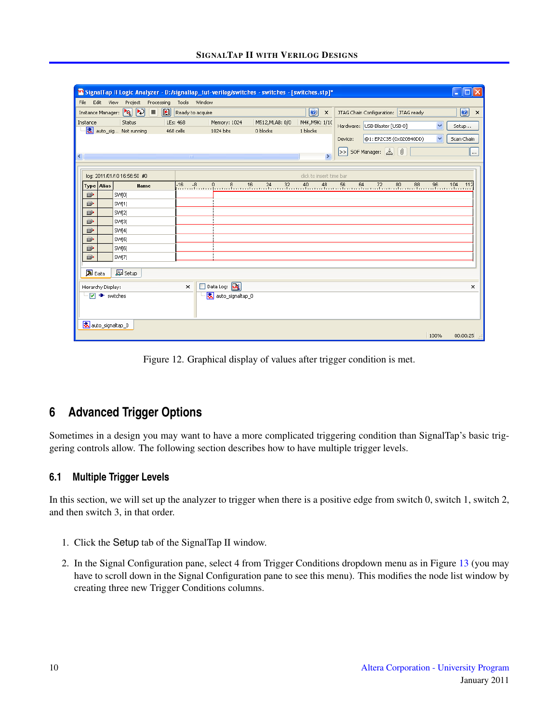| File<br>Edit View Project Processing<br>Tools Window                                                                                                                                                                                                                                                                                                                                                                                    |                                               |
|-----------------------------------------------------------------------------------------------------------------------------------------------------------------------------------------------------------------------------------------------------------------------------------------------------------------------------------------------------------------------------------------------------------------------------------------|-----------------------------------------------|
|                                                                                                                                                                                                                                                                                                                                                                                                                                         |                                               |
| $\boxed{2}$<br>圈<br>$\boxed{\mathcal{O}}$<br>I.<br>Ready to acquire<br>Instance Manager:<br>JTAG Chain Configuration:   JTAG ready<br>$\boldsymbol{\mathsf{x}}$                                                                                                                                                                                                                                                                         | $\boldsymbol{v}$<br>$\boldsymbol{\mathsf{x}}$ |
| M512, MLAB: 0/0<br>M4K, M9K: 1/10<br>Status<br>LEs: 468<br>Memory: 1024<br>Instance<br>$\overline{\mathbf{v}}$<br>Hardware: USB-Blaster [USB-0]<br>Setup                                                                                                                                                                                                                                                                                |                                               |
| <mark>表</mark> auto_sig Not running<br>468 cells<br>1024 bits<br>0 blocks<br>1 blocks                                                                                                                                                                                                                                                                                                                                                   |                                               |
| $\checkmark$<br>@1: EP2C35 (0x020B40DD)<br>Scan Chain<br>Device:                                                                                                                                                                                                                                                                                                                                                                        |                                               |
| SOF Manager: 3 0                                                                                                                                                                                                                                                                                                                                                                                                                        | $\cdots$                                      |
| $\rightarrow$<br>$\left\langle \right\rangle$<br>$\mathbb{H} \mathbb{H}$ .                                                                                                                                                                                                                                                                                                                                                              |                                               |
| click to insert time bar<br>log: 2011/01/10 16:56:50 #0                                                                                                                                                                                                                                                                                                                                                                                 |                                               |
| $\frac{0}{1}, \frac{8}{1}, \frac{16}{1}, \frac{24}{1}, \frac{32}{1}, \frac{40}{1}, \frac{48}{1}, \frac{56}{1}, \frac{64}{1}, \frac{72}{1}, \frac{80}{1}, \frac{88}{1}, \frac{96}{1}, \frac{104}{11}, \frac{111}{11}, \frac{111}{11}, \frac{111}{11}, \frac{111}{11}, \frac{111}{11}, \frac{111}{11}, \frac{111}{11}, \frac{111}{11}, \frac{111}{11}, \frac{111}{11}, \frac{111}{1$<br>$-16$<br>$-8$<br><b>Type Alias</b><br><b>Name</b> | 112                                           |
| .<br>D<br>SW[0]                                                                                                                                                                                                                                                                                                                                                                                                                         |                                               |
| D<br>SW[1]                                                                                                                                                                                                                                                                                                                                                                                                                              |                                               |
| D<br>SVV[2]                                                                                                                                                                                                                                                                                                                                                                                                                             |                                               |
| D<br>SW[3]                                                                                                                                                                                                                                                                                                                                                                                                                              |                                               |
| D<br>SW[4]                                                                                                                                                                                                                                                                                                                                                                                                                              |                                               |
| D)<br>SW[5]                                                                                                                                                                                                                                                                                                                                                                                                                             |                                               |
| D<br>SW[6]                                                                                                                                                                                                                                                                                                                                                                                                                              |                                               |
| D <sup>*</sup><br>SW[7]                                                                                                                                                                                                                                                                                                                                                                                                                 |                                               |
| Setup<br><b>A</b> Data                                                                                                                                                                                                                                                                                                                                                                                                                  |                                               |
|                                                                                                                                                                                                                                                                                                                                                                                                                                         |                                               |
| Data Log: [M]<br>$\times$<br>Hierarchy Display:                                                                                                                                                                                                                                                                                                                                                                                         | $\pmb{\times}$                                |
| 凮<br>$\blacktriangledown$<br>* switches<br>auto_signaltap_0                                                                                                                                                                                                                                                                                                                                                                             |                                               |
|                                                                                                                                                                                                                                                                                                                                                                                                                                         |                                               |
|                                                                                                                                                                                                                                                                                                                                                                                                                                         |                                               |
| <mark>我</mark> auto_signaltap_0<br>100%                                                                                                                                                                                                                                                                                                                                                                                                 | 00:00:25                                      |

<span id="page-9-0"></span>Figure 12. Graphical display of values after trigger condition is met.

### **6 Advanced Trigger Options**

Sometimes in a design you may want to have a more complicated triggering condition than SignalTap's basic triggering controls allow. The following section describes how to have multiple trigger levels.

#### **6.1 Multiple Trigger Levels**

In this section, we will set up the analyzer to trigger when there is a positive edge from switch 0, switch 1, switch 2, and then switch 3, in that order.

- 1. Click the Setup tab of the SignalTap II window.
- 2. In the Signal Configuration pane, select 4 from Trigger Conditions dropdown menu as in Figure [13](#page-10-0) (you may have to scroll down in the Signal Configuration pane to see this menu). This modifies the node list window by creating three new Trigger Conditions columns.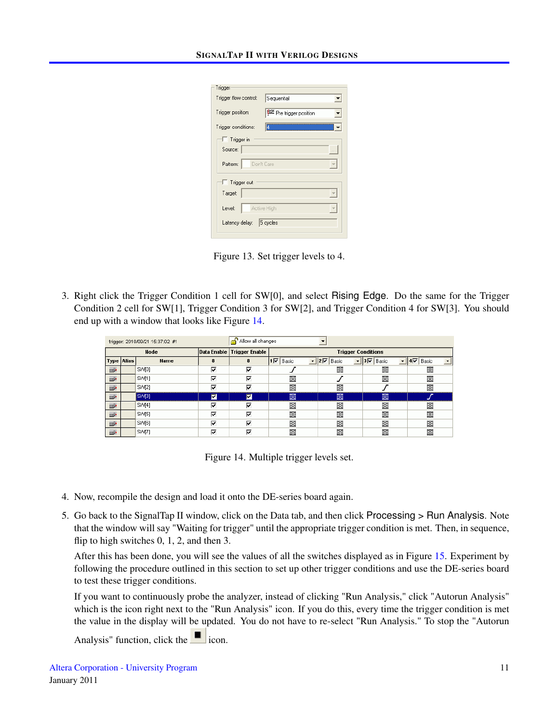| Trigger               |                      |
|-----------------------|----------------------|
| Trigger flow control: | Sequential           |
| Trigger position:     | Pre trigger position |
| Trigger conditions:   | Į4                   |
| Trigger in            |                      |
| Source:               |                      |
| Pattern:              | Don't Care           |
| Trigger out           |                      |
| Target:               |                      |
| Level:                | Active High          |
| Latency delay:        | 5 cycles             |

<span id="page-10-0"></span>Figure 13. Set trigger levels to 4.

3. Right click the Trigger Condition 1 cell for SW[0], and select Rising Edge. Do the same for the Trigger Condition 2 cell for SW[1], Trigger Condition 3 for SW[2], and Trigger Condition 4 for SW[3]. You should end up with a window that looks like Figure [14.](#page-10-1)

| trigger: 2010/09/21 15:37:02 #1 |  |                  |   | Allow all changes          |                           |                     |                 |                   |  |  |
|---------------------------------|--|------------------|---|----------------------------|---------------------------|---------------------|-----------------|-------------------|--|--|
| Node                            |  |                  |   | Data Enable Trigger Enable | <b>Trigger Conditions</b> |                     |                 |                   |  |  |
| <b>Type Alias</b>               |  | Name             |   | 8                          | $ 1\nabla $ Basic         | $  2\nabla  $ Basic | $3\nabla$ Basic | Basic<br>14⊽<br>▼ |  |  |
| $\Rightarrow$                   |  | SW01             | ⊽ | ⊽                          |                           | 露                   | 露               | ▧                 |  |  |
| $\Rightarrow$                   |  | SVM <sub>1</sub> | ⊽ | ⊽                          | ▩                         |                     | 爨               | ▧                 |  |  |
| $\Rightarrow$                   |  | SVV[2]           | ⊽ | ⊽                          | ▧                         | 露                   |                 | ▧                 |  |  |
| $\Rightarrow$                   |  | SW[3]            | ⊽ | ⊡                          | 羉                         | 羉                   | ▩               |                   |  |  |
| $\Rightarrow$                   |  | SVV[4]           | ⊽ | ⊽                          | ▩                         | 頾                   | 翜               | ▧                 |  |  |
| $\Rightarrow$                   |  | SVV[5]           | ⊽ | ⊽                          | 羉                         | 氮                   | ▩               | 羉                 |  |  |
| $\Rightarrow$                   |  | SW[6]            | ⊽ | ⊽                          | 羉                         | 翜                   | 羉               | 羉                 |  |  |
| $\Rightarrow$                   |  | SW[7]            | ⊽ | ⊽                          | 露                         | 露                   | 羉               | 露                 |  |  |

<span id="page-10-1"></span>Figure 14. Multiple trigger levels set.

- 4. Now, recompile the design and load it onto the DE-series board again.
- 5. Go back to the SignalTap II window, click on the Data tab, and then click Processing > Run Analysis. Note that the window will say "Waiting for trigger" until the appropriate trigger condition is met. Then, in sequence, flip to high switches 0, 1, 2, and then 3.

After this has been done, you will see the values of all the switches displayed as in Figure [15.](#page-11-0) Experiment by following the procedure outlined in this section to set up other trigger conditions and use the DE-series board to test these trigger conditions.

If you want to continuously probe the analyzer, instead of clicking "Run Analysis," click "Autorun Analysis" which is the icon right next to the "Run Analysis" icon. If you do this, every time the trigger condition is met the value in the display will be updated. You do not have to re-select "Run Analysis." To stop the "Autorun

Analysis" function, click the icon.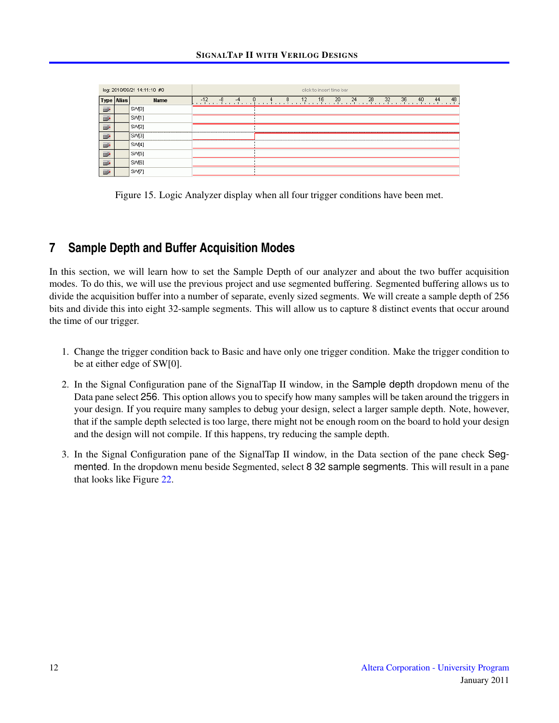|               |                   | log: 2010/09/21 14:11:10 #0 | click to insert time bar |    |    |  |  |  |    |    |    |    |    |    |    |    |    |    |    |
|---------------|-------------------|-----------------------------|--------------------------|----|----|--|--|--|----|----|----|----|----|----|----|----|----|----|----|
|               | <b>Type Alias</b> | Name                        | $-12$                    | -8 | -4 |  |  |  | 8. | 12 | 16 | 20 | 24 | 28 | 32 | 36 | 40 | 44 | 48 |
| $\Rightarrow$ |                   | SW[0]                       |                          |    |    |  |  |  |    |    |    |    |    |    |    |    |    |    |    |
| $\Rightarrow$ |                   | SW[1]                       |                          |    |    |  |  |  |    |    |    |    |    |    |    |    |    |    |    |
| $\Rightarrow$ |                   | SW[2]                       |                          |    |    |  |  |  |    |    |    |    |    |    |    |    |    |    |    |
| $\Rightarrow$ |                   | SW <sub>3</sub>             |                          |    |    |  |  |  |    |    |    |    |    |    |    |    |    |    |    |
| $\Rightarrow$ |                   | SW[4]                       |                          |    |    |  |  |  |    |    |    |    |    |    |    |    |    |    |    |
| $\Rightarrow$ |                   | SW[5]                       |                          |    |    |  |  |  |    |    |    |    |    |    |    |    |    |    |    |
| $\Rightarrow$ |                   | SW[6]                       |                          |    |    |  |  |  |    |    |    |    |    |    |    |    |    |    |    |
| $\Rightarrow$ |                   | SM[7]                       |                          |    |    |  |  |  |    |    |    |    |    |    |    |    |    |    |    |

<span id="page-11-0"></span>Figure 15. Logic Analyzer display when all four trigger conditions have been met.

# **7 Sample Depth and Buffer Acquisition Modes**

In this section, we will learn how to set the Sample Depth of our analyzer and about the two buffer acquisition modes. To do this, we will use the previous project and use segmented buffering. Segmented buffering allows us to divide the acquisition buffer into a number of separate, evenly sized segments. We will create a sample depth of 256 bits and divide this into eight 32-sample segments. This will allow us to capture 8 distinct events that occur around the time of our trigger.

- 1. Change the trigger condition back to Basic and have only one trigger condition. Make the trigger condition to be at either edge of SW[0].
- 2. In the Signal Configuration pane of the SignalTap II window, in the Sample depth dropdown menu of the Data pane select 256. This option allows you to specify how many samples will be taken around the triggers in your design. If you require many samples to debug your design, select a larger sample depth. Note, however, that if the sample depth selected is too large, there might not be enough room on the board to hold your design and the design will not compile. If this happens, try reducing the sample depth.
- 3. In the Signal Configuration pane of the SignalTap II window, in the Data section of the pane check Segmented. In the dropdown menu beside Segmented, select 8 32 sample segments. This will result in a pane that looks like Figure [22.](#page-0-0)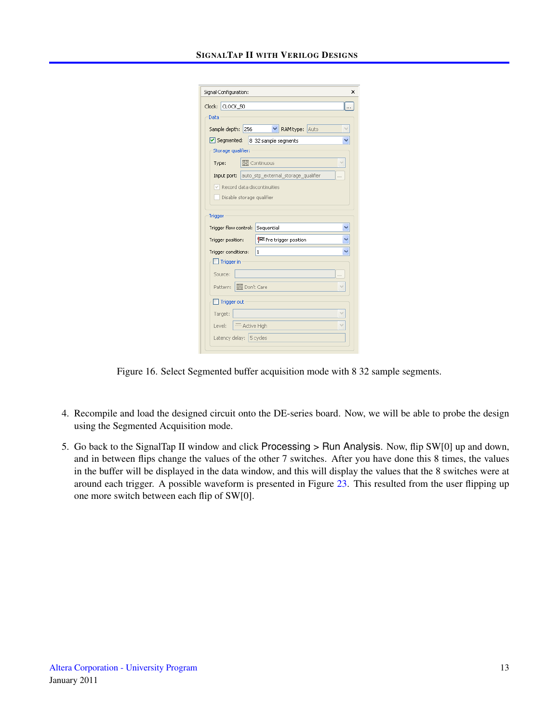#### SIGNALTAP II WITH VERILOG DESIGNS

| Signal Configuration:                           | × |  |  |  |  |  |  |  |  |  |  |
|-------------------------------------------------|---|--|--|--|--|--|--|--|--|--|--|
|                                                 |   |  |  |  |  |  |  |  |  |  |  |
| Clock: CLOCK_50                                 |   |  |  |  |  |  |  |  |  |  |  |
| Data                                            |   |  |  |  |  |  |  |  |  |  |  |
| Sample depth:<br>256<br>RAM type: Auto          |   |  |  |  |  |  |  |  |  |  |  |
| Segmented: 8 32 sample segments                 |   |  |  |  |  |  |  |  |  |  |  |
| Storage qualifier:                              |   |  |  |  |  |  |  |  |  |  |  |
| <b>XX</b> Continuous<br>Type:                   |   |  |  |  |  |  |  |  |  |  |  |
| Input port: auto_stp_external_storage_qualifier |   |  |  |  |  |  |  |  |  |  |  |
| $\vee$ Record data discontinuities              |   |  |  |  |  |  |  |  |  |  |  |
| Disable storage qualifier                       |   |  |  |  |  |  |  |  |  |  |  |
|                                                 |   |  |  |  |  |  |  |  |  |  |  |
| Trigger                                         |   |  |  |  |  |  |  |  |  |  |  |
| Trigger flow control: Sequential                |   |  |  |  |  |  |  |  |  |  |  |
| Pre trigger position<br>Trigger position:       |   |  |  |  |  |  |  |  |  |  |  |
| Trigger conditions:<br>1                        |   |  |  |  |  |  |  |  |  |  |  |
| Trigger in                                      |   |  |  |  |  |  |  |  |  |  |  |
| Source:                                         |   |  |  |  |  |  |  |  |  |  |  |
| <b>XX</b> Don't Care<br>Pattern:                |   |  |  |  |  |  |  |  |  |  |  |
|                                                 |   |  |  |  |  |  |  |  |  |  |  |
| Trigger out                                     |   |  |  |  |  |  |  |  |  |  |  |
| Target:                                         |   |  |  |  |  |  |  |  |  |  |  |
| - Active High<br>Level:                         |   |  |  |  |  |  |  |  |  |  |  |
| Latency delay: 5 cycles                         |   |  |  |  |  |  |  |  |  |  |  |
|                                                 |   |  |  |  |  |  |  |  |  |  |  |

Figure 16. Select Segmented buffer acquisition mode with 8 32 sample segments.

- 4. Recompile and load the designed circuit onto the DE-series board. Now, we will be able to probe the design using the Segmented Acquisition mode.
- 5. Go back to the SignalTap II window and click Processing > Run Analysis. Now, flip SW[0] up and down, and in between flips change the values of the other 7 switches. After you have done this 8 times, the values in the buffer will be displayed in the data window, and this will display the values that the 8 switches were at around each trigger. A possible waveform is presented in Figure [23.](#page-0-0) This resulted from the user flipping up one more switch between each flip of SW[0].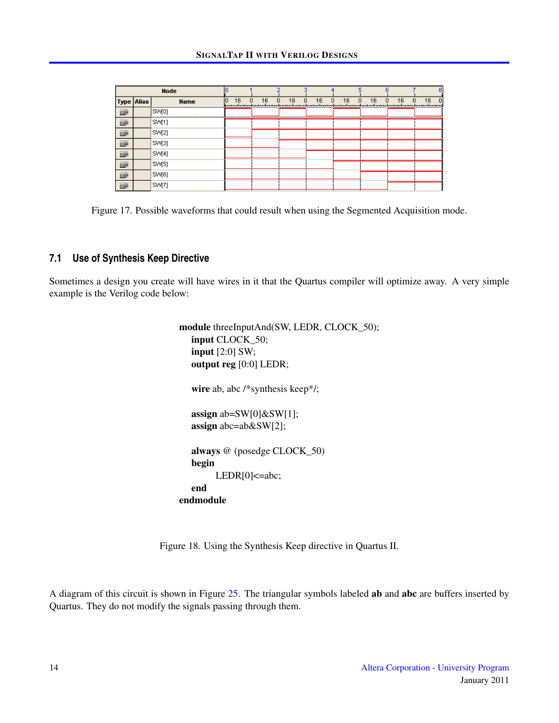| <b>Node</b>       |  |                   |    |    |         |                                     |              |                |              |         | 8                    |
|-------------------|--|-------------------|----|----|---------|-------------------------------------|--------------|----------------|--------------|---------|----------------------|
| <b>Type Alias</b> |  | <b>Name</b>       | 10 | 16 | 16<br>n | 16<br>$\overline{0}$<br>$\mathbf 0$ | 16<br>$\Box$ | 16<br>$\Omega$ | 16<br>$\Box$ | 16<br>n | 16<br>$\overline{0}$ |
| D                 |  | [SWI0]            |    |    |         |                                     |              |                |              |         |                      |
| D                 |  | SM <sub>(1)</sub> |    |    |         |                                     |              |                |              |         |                      |
| $\mathbb{D}$      |  | SVV[2]            |    |    |         |                                     |              |                |              |         |                      |
| D                 |  | SM[3]             |    |    |         |                                     |              |                |              |         |                      |
| D                 |  | SW[4]             |    |    |         |                                     |              |                |              |         |                      |
| D                 |  | SM <sub>[5]</sub> |    |    |         |                                     |              |                |              |         |                      |
| D                 |  | SW[6]             |    |    |         |                                     |              |                |              |         |                      |
| ī»                |  | SM <sub>(7)</sub> |    |    |         |                                     |              |                |              |         |                      |

Figure 17. Possible waveforms that could result when using the Segmented Acquisition mode.

#### **7.1 Use of Synthesis Keep Directive**

Sometimes a design you create will have wires in it that the Quartus compiler will optimize away. A very simple example is the Verilog code below:

> module threeInputAnd(SW, LEDR, CLOCK\_50); input CLOCK\_50; input [2:0] SW; output reg [0:0] LEDR; wire ab, abc /\*synthesis keep\*/; assign ab=SW[0]&SW[1]; assign abc=ab&SW[2]; always @ (posedge CLOCK\_50) begin LEDR[0]<=abc; end endmodule

Figure 18. Using the Synthesis Keep directive in Quartus II.

A diagram of this circuit is shown in Figure [25.](#page-0-0) The triangular symbols labeled ab and abc are buffers inserted by Quartus. They do not modify the signals passing through them.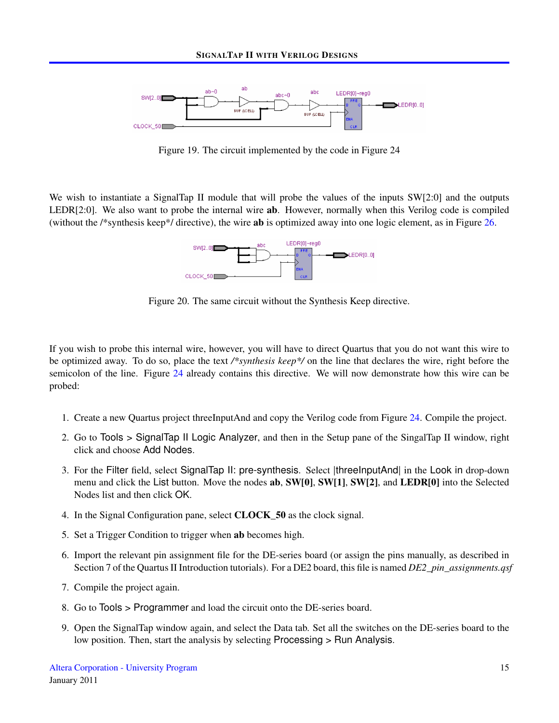

Figure 19. The circuit implemented by the code in Figure 24

We wish to instantiate a SignalTap II module that will probe the values of the inputs SW[2:0] and the outputs LEDR[2:0]. We also want to probe the internal wire **ab**. However, normally when this Verilog code is compiled (without the /\*synthesis keep\*/ directive), the wire ab is optimized away into one logic element, as in Figure [26.](#page-0-0)



Figure 20. The same circuit without the Synthesis Keep directive.

If you wish to probe this internal wire, however, you will have to direct Quartus that you do not want this wire to be optimized away. To do so, place the text */\*synthesis keep\*/* on the line that declares the wire, right before the semicolon of the line. Figure [24](#page-0-0) already contains this directive. We will now demonstrate how this wire can be probed:

- 1. Create a new Quartus project threeInputAnd and copy the Verilog code from Figure [24.](#page-0-0) Compile the project.
- 2. Go to Tools > SignalTap II Logic Analyzer, and then in the Setup pane of the SingalTap II window, right click and choose Add Nodes.
- 3. For the Filter field, select SignalTap II: pre-synthesis. Select |threeInputAnd| in the Look in drop-down menu and click the List button. Move the nodes **ab**, **SW[0]**, **SW[1]**, **SW[2]**, and **LEDR[0]** into the Selected Nodes list and then click OK.
- 4. In the Signal Configuration pane, select CLOCK\_50 as the clock signal.
- 5. Set a Trigger Condition to trigger when ab becomes high.
- 6. Import the relevant pin assignment file for the DE-series board (or assign the pins manually, as described in Section 7 of the Quartus II Introduction tutorials). For a DE2 board, this file is named *DE2\_pin\_assignments.qsf*
- 7. Compile the project again.
- 8. Go to Tools > Programmer and load the circuit onto the DE-series board.
- 9. Open the SignalTap window again, and select the Data tab. Set all the switches on the DE-series board to the low position. Then, start the analysis by selecting Processing > Run Analysis.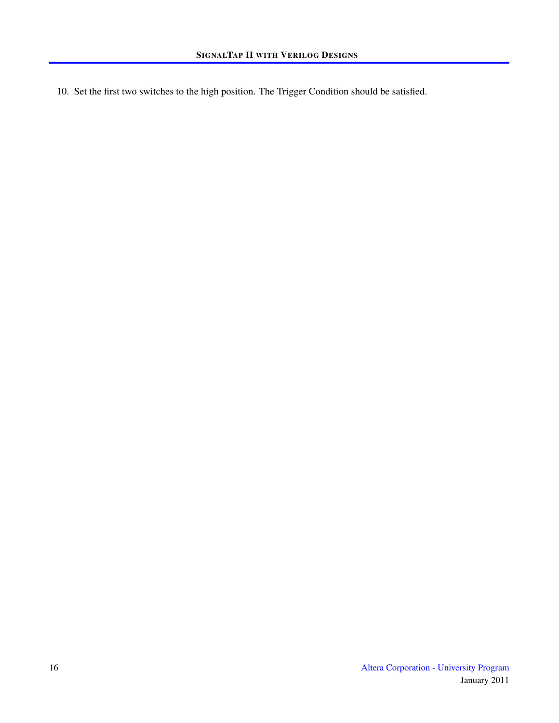10. Set the first two switches to the high position. The Trigger Condition should be satisfied.